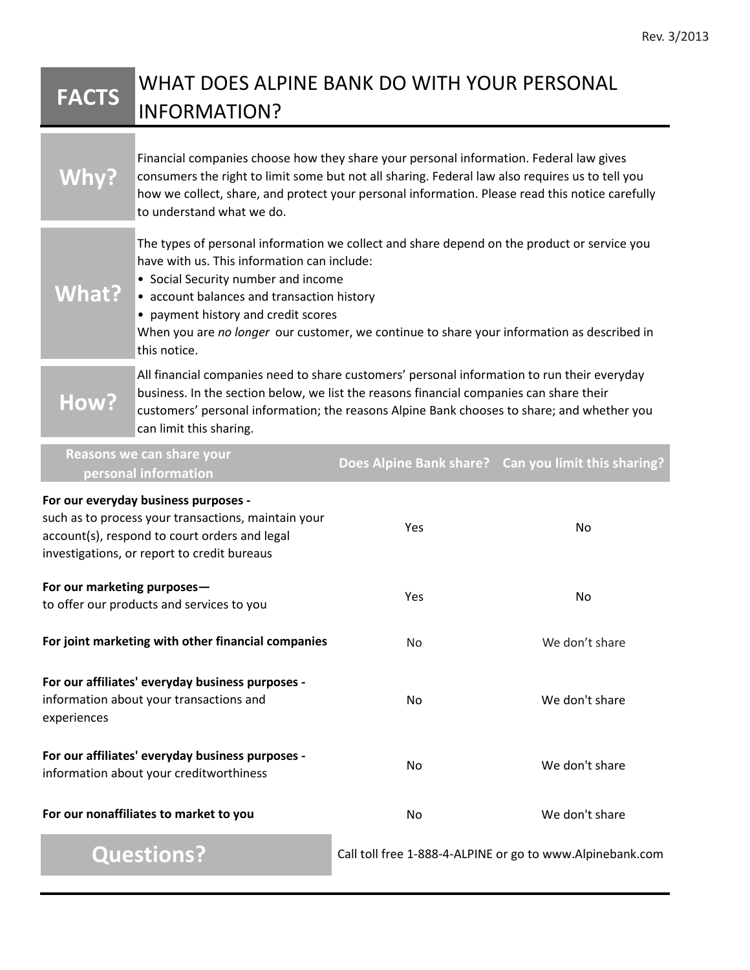## **FACTS** WHAT DOES ALPINE BANK DO WITH YOUR PERSONAL INFORMATION?

|                                                                                                                                                                                             | Financial companies choose how they share your personal information. Federal law gives<br>consumers the right to limit some but not all sharing. Federal law also requires us to tell you<br>how we collect, share, and protect your personal information. Please read this notice carefully<br>to understand what we do.                                                            |     |                |
|---------------------------------------------------------------------------------------------------------------------------------------------------------------------------------------------|--------------------------------------------------------------------------------------------------------------------------------------------------------------------------------------------------------------------------------------------------------------------------------------------------------------------------------------------------------------------------------------|-----|----------------|
| <b>What?</b>                                                                                                                                                                                | The types of personal information we collect and share depend on the product or service you<br>have with us. This information can include:<br>• Social Security number and income<br>• account balances and transaction history<br>• payment history and credit scores<br>When you are no longer our customer, we continue to share your information as described in<br>this notice. |     |                |
| How?                                                                                                                                                                                        | All financial companies need to share customers' personal information to run their everyday<br>business. In the section below, we list the reasons financial companies can share their<br>customers' personal information; the reasons Alpine Bank chooses to share; and whether you<br>can limit this sharing.                                                                      |     |                |
| Reasons we can share your<br>Does Alpine Bank share? Can you limit this sharing?<br>personal information                                                                                    |                                                                                                                                                                                                                                                                                                                                                                                      |     |                |
| For our everyday business purposes -<br>such as to process your transactions, maintain your<br>account(s), respond to court orders and legal<br>investigations, or report to credit bureaus |                                                                                                                                                                                                                                                                                                                                                                                      | Yes | No             |
| For our marketing purposes-<br>to offer our products and services to you                                                                                                                    |                                                                                                                                                                                                                                                                                                                                                                                      | Yes | No             |
| For joint marketing with other financial companies                                                                                                                                          |                                                                                                                                                                                                                                                                                                                                                                                      | No  | We don't share |
| For our affiliates' everyday business purposes -<br>information about your transactions and<br>experiences                                                                                  |                                                                                                                                                                                                                                                                                                                                                                                      | No  | We don't share |
| For our affiliates' everyday business purposes -<br>information about your creditworthiness                                                                                                 |                                                                                                                                                                                                                                                                                                                                                                                      | No  | We don't share |
| For our nonaffiliates to market to you                                                                                                                                                      |                                                                                                                                                                                                                                                                                                                                                                                      | No  | We don't share |

**Questions?** Call toll free 1-888-4-ALPINE or go to www.Alpinebank.com